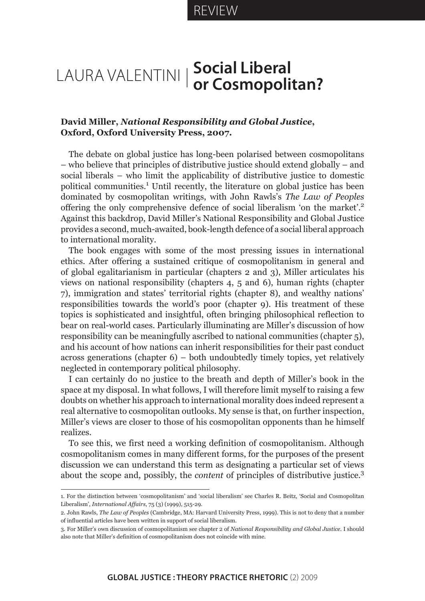## Laura Valentini **Social Liberal or Cosmopolitan?**

## **David Miller,** *National Responsibility and Global Justice***, Oxford, Oxford University Press, 2007.**

The debate on global justice has long-been polarised between cosmopolitans – who believe that principles of distributive justice should extend globally – and social liberals – who limit the applicability of distributive justice to domestic political communities.<sup>1</sup> Until recently, the literature on global justice has been dominated by cosmopolitan writings, with John Rawls's *The Law of Peoples*  offering the only comprehensive defence of social liberalism 'on the market'.2 Against this backdrop, David Miller's National Responsibility and Global Justice provides a second, much-awaited, book-length defence of a social liberal approach to international morality.

The book engages with some of the most pressing issues in international ethics. After offering a sustained critique of cosmopolitanism in general and of global egalitarianism in particular (chapters 2 and 3), Miller articulates his views on national responsibility (chapters 4, 5 and 6), human rights (chapter 7), immigration and states' territorial rights (chapter 8), and wealthy nations' responsibilities towards the world's poor (chapter 9). His treatment of these topics is sophisticated and insightful, often bringing philosophical reflection to bear on real-world cases. Particularly illuminating are Miller's discussion of how responsibility can be meaningfully ascribed to national communities (chapter 5), and his account of how nations can inherit responsibilities for their past conduct across generations (chapter 6) – both undoubtedly timely topics, yet relatively neglected in contemporary political philosophy.

I can certainly do no justice to the breath and depth of Miller's book in the space at my disposal. In what follows, I will therefore limit myself to raising a few doubts on whether his approach to international morality does indeed represent a real alternative to cosmopolitan outlooks. My sense is that, on further inspection, Miller's views are closer to those of his cosmopolitan opponents than he himself realizes.

To see this, we first need a working definition of cosmopolitanism. Although cosmopolitanism comes in many different forms, for the purposes of the present discussion we can understand this term as designating a particular set of views about the scope and, possibly, the *content* of principles of distributive justice.<sup>3</sup>

<sup>1.</sup> For the distinction between 'cosmopolitanism' and 'social liberalism' see Charles R. Beitz, 'Social and Cosmopolitan Liberalism', *International Affairs*, 75 (3) (1999), 515-29.

<sup>2.</sup> John Rawls, *The Law of Peoples* (Cambridge, MA: Harvard University Press, 1999). This is not to deny that a number of influential articles have been written in support of social liberalism.

<sup>3.</sup> For Miller's own discussion of cosmopolitanism see chapter 2 of *National Responsibility and Global Justice*. I should also note that Miller's definition of cosmopolitanism does not coincide with mine.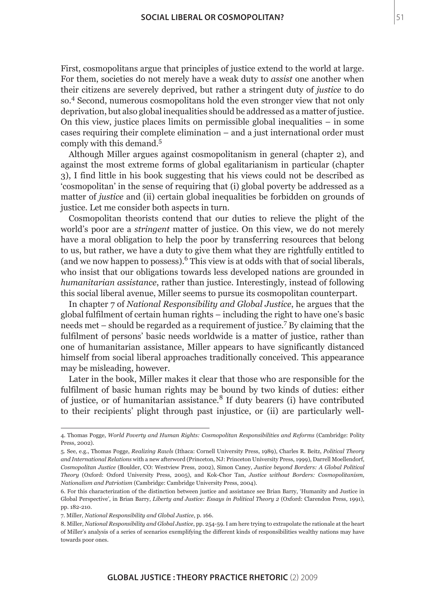First, cosmopolitans argue that principles of justice extend to the world at large. For them, societies do not merely have a weak duty to *assist* one another when their citizens are severely deprived, but rather a stringent duty of *justice* to do so.4 Second, numerous cosmopolitans hold the even stronger view that not only deprivation, but also global inequalities should be addressed as a matter of justice. On this view, justice places limits on permissible global inequalities – in some cases requiring their complete elimination – and a just international order must comply with this demand.<sup>5</sup>

Although Miller argues against cosmopolitanism in general (chapter 2), and against the most extreme forms of global egalitarianism in particular (chapter 3), I find little in his book suggesting that his views could not be described as 'cosmopolitan' in the sense of requiring that (i) global poverty be addressed as a matter of *justice* and (ii) certain global inequalities be forbidden on grounds of justice. Let me consider both aspects in turn.

Cosmopolitan theorists contend that our duties to relieve the plight of the world's poor are a *stringent* matter of justice. On this view, we do not merely have a moral obligation to help the poor by transferring resources that belong to us, but rather, we have a duty to give them what they are rightfully entitled to (and we now happen to possess).<sup>6</sup> This view is at odds with that of social liberals, who insist that our obligations towards less developed nations are grounded in *humanitarian assistance*, rather than justice. Interestingly, instead of following this social liberal avenue, Miller seems to pursue its cosmopolitan counterpart.

In chapter 7 of *National Responsibility and Global Justice*, he argues that the global fulfilment of certain human rights – including the right to have one's basic needs met – should be regarded as a requirement of justice.<sup>7</sup> By claiming that the fulfilment of persons' basic needs worldwide is a matter of justice, rather than one of humanitarian assistance, Miller appears to have significantly distanced himself from social liberal approaches traditionally conceived. This appearance may be misleading, however.

Later in the book, Miller makes it clear that those who are responsible for the fulfilment of basic human rights may be bound by two kinds of duties: either of justice, or of humanitarian assistance.8 If duty bearers (i) have contributed to their recipients' plight through past injustice, or (ii) are particularly well-

<sup>4.</sup> Thomas Pogge, *World Poverty and Human Rights: Cosmopolitan Responsibilities and Reforms* (Cambridge: Polity Press, 2002).

<sup>5.</sup> See, e.g., Thomas Pogge, *Realizing Rawls* (Ithaca: Cornell University Press, 1989), Charles R. Beitz, *Political Theory and International Relations* with a new afterword (Princeton, NJ: Princeton University Press, 1999), Darrell Moellendorf, *Cosmopolitan Justice* (Boulder, CO: Westview Press, 2002), Simon Caney, *Justice beyond Borders: A Global Political Theory* (Oxford: Oxford University Press, 2005), and Kok-Chor Tan, *Justice without Borders: Cosmopolitanism, Nationalism and Patriotism* (Cambridge: Cambridge University Press, 2004).

<sup>6.</sup> For this characterization of the distinction between justice and assistance see Brian Barry, 'Humanity and Justice in Global Perspective', in Brian Barry, *Liberty and Justice: Essays in Political Theory 2* (Oxford: Clarendon Press, 1991), pp. 182-210.

<sup>7.</sup> Miller, *National Responsibility and Global Justice*, p. 166.

<sup>8.</sup> Miller, *National Responsibility and Global Justice*, pp. 254-59. I am here trying to extrapolate the rationale at the heart of Miller's analysis of a series of scenarios exemplifying the different kinds of responsibilities wealthy nations may have towards poor ones.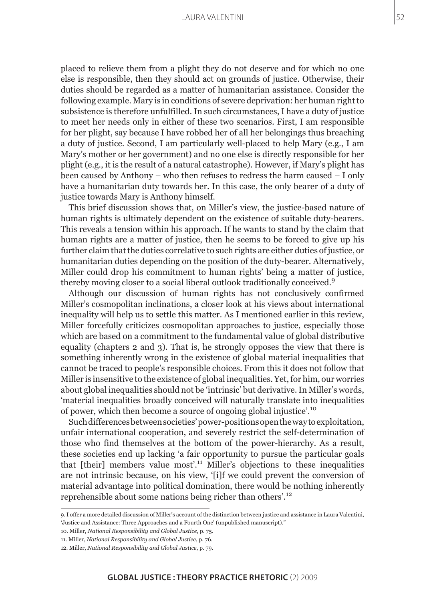## Laura Valentini

placed to relieve them from a plight they do not deserve and for which no one else is responsible, then they should act on grounds of justice. Otherwise, their duties should be regarded as a matter of humanitarian assistance. Consider the following example. Mary is in conditions of severe deprivation: her human right to subsistence is therefore unfulfilled. In such circumstances, I have a duty of justice to meet her needs only in either of these two scenarios. First, I am responsible for her plight, say because I have robbed her of all her belongings thus breaching a duty of justice. Second, I am particularly well-placed to help Mary (e.g., I am Mary's mother or her government) and no one else is directly responsible for her plight (e.g., it is the result of a natural catastrophe). However, if Mary's plight has been caused by Anthony – who then refuses to redress the harm caused – I only have a humanitarian duty towards her. In this case, the only bearer of a duty of justice towards Mary is Anthony himself.

This brief discussion shows that, on Miller's view, the justice-based nature of human rights is ultimately dependent on the existence of suitable duty-bearers. This reveals a tension within his approach. If he wants to stand by the claim that human rights are a matter of justice, then he seems to be forced to give up his further claim that the duties correlative to such rights are either duties of justice, or humanitarian duties depending on the position of the duty-bearer. Alternatively, Miller could drop his commitment to human rights' being a matter of justice, thereby moving closer to a social liberal outlook traditionally conceived.<sup>9</sup>

Although our discussion of human rights has not conclusively confirmed Miller's cosmopolitan inclinations, a closer look at his views about international inequality will help us to settle this matter. As I mentioned earlier in this review, Miller forcefully criticizes cosmopolitan approaches to justice, especially those which are based on a commitment to the fundamental value of global distributive equality (chapters 2 and 3). That is, he strongly opposes the view that there is something inherently wrong in the existence of global material inequalities that cannot be traced to people's responsible choices. From this it does not follow that Miller is insensitive to the existence of global inequalities. Yet, for him, our worries about global inequalities should not be 'intrinsic' but derivative. In Miller's words, 'material inequalities broadly conceived will naturally translate into inequalities of power, which then become a source of ongoing global injustice'.<sup>10</sup>

Such differences between societies' power-positions open the way to exploitation, unfair international cooperation, and severely restrict the self-determination of those who find themselves at the bottom of the power-hierarchy. As a result, these societies end up lacking 'a fair opportunity to pursue the particular goals that [their] members value most'.11 Miller's objections to these inequalities are not intrinsic because, on his view, '[i]f we could prevent the conversion of material advantage into political domination, there would be nothing inherently reprehensible about some nations being richer than others'.<sup>12</sup>

11. Miller, *National Responsibility and Global Justice*, p. 76.

<sup>9.</sup> I offer a more detailed discussion of Miller's account of the distinction between justice and assistance in Laura Valentini, 'Justice and Assistance: Three Approaches and a Fourth One' (unpublished manuscript)."

<sup>10.</sup> Miller, *National Responsibility and Global Justice*, p. 75.

<sup>12.</sup> Miller, *National Responsibility and Global Justice*, p. 79.